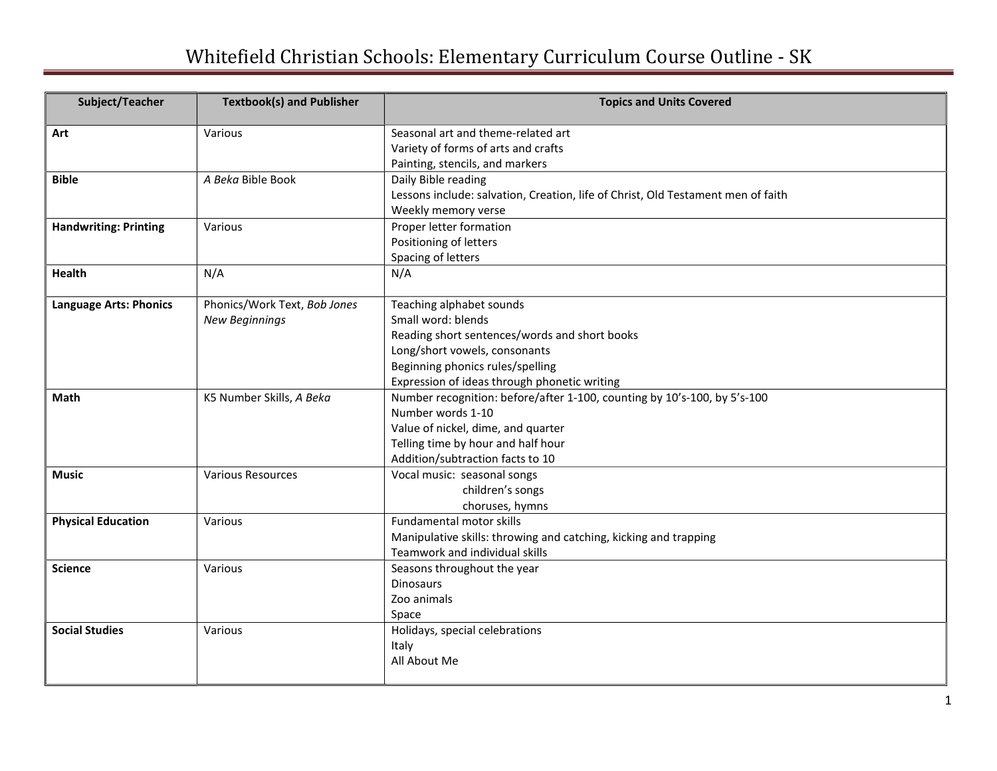## Whitefield Christian Schools: Elementary Curriculum Course Outline - SK

| Subject/Teacher               | <b>Textbook(s) and Publisher</b> | <b>Topics and Units Covered</b>                                                  |
|-------------------------------|----------------------------------|----------------------------------------------------------------------------------|
| Art                           | Various                          | Seasonal art and theme-related art                                               |
|                               |                                  | Variety of forms of arts and crafts                                              |
|                               |                                  | Painting, stencils, and markers                                                  |
| <b>Bible</b>                  | A Beka Bible Book                | Daily Bible reading                                                              |
|                               |                                  | Lessons include: salvation, Creation, life of Christ, Old Testament men of faith |
|                               |                                  | Weekly memory verse                                                              |
| <b>Handwriting: Printing</b>  | Various                          | Proper letter formation                                                          |
|                               |                                  | Positioning of letters                                                           |
|                               |                                  | Spacing of letters                                                               |
| <b>Health</b>                 | N/A                              | N/A                                                                              |
| <b>Language Arts: Phonics</b> | Phonics/Work Text, Bob Jones     | Teaching alphabet sounds                                                         |
|                               | <b>New Beginnings</b>            | Small word: blends                                                               |
|                               |                                  | Reading short sentences/words and short books                                    |
|                               |                                  | Long/short vowels, consonants                                                    |
|                               |                                  | Beginning phonics rules/spelling                                                 |
|                               |                                  | Expression of ideas through phonetic writing                                     |
| Math                          | K5 Number Skills, A Beka         | Number recognition: before/after 1-100, counting by 10's-100, by 5's-100         |
|                               |                                  | Number words 1-10                                                                |
|                               |                                  | Value of nickel, dime, and quarter                                               |
|                               |                                  | Telling time by hour and half hour                                               |
|                               |                                  | Addition/subtraction facts to 10                                                 |
| <b>Music</b>                  | <b>Various Resources</b>         | Vocal music: seasonal songs                                                      |
|                               |                                  | children's songs                                                                 |
|                               |                                  | choruses, hymns                                                                  |
| <b>Physical Education</b>     | Various                          | Fundamental motor skills                                                         |
|                               |                                  | Manipulative skills: throwing and catching, kicking and trapping                 |
|                               |                                  | Teamwork and individual skills                                                   |
| <b>Science</b>                | Various                          | Seasons throughout the year<br><b>Dinosaurs</b>                                  |
|                               |                                  |                                                                                  |
|                               |                                  | Zoo animals                                                                      |
| <b>Social Studies</b>         |                                  | Space                                                                            |
|                               | Various                          | Holidays, special celebrations                                                   |
|                               |                                  | Italy                                                                            |
|                               |                                  | All About Me                                                                     |
|                               |                                  |                                                                                  |